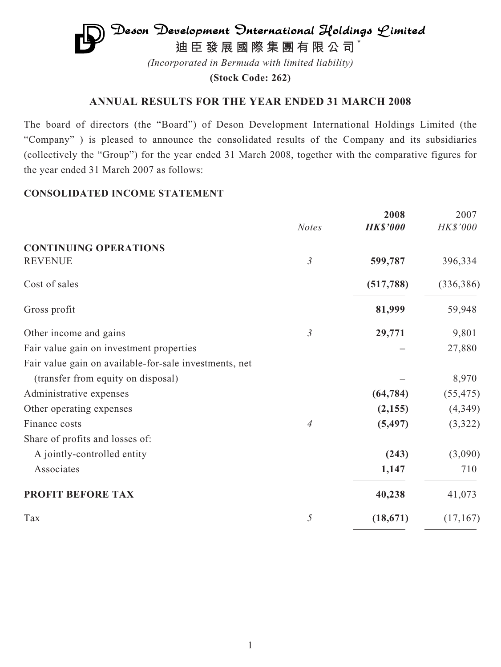# $\mathfrak{D}$ eson Development Onternational Holdings  $\mathcal{L}$ imited **迪臣發展國際集團有限公司** \*

*(Incorporated in Bermuda with limited liability)*

**(Stock Code: 262)**

# **ANNUAL RESULTS FOR THE YEAR ENDED 31 MARCH 2008**

The board of directors (the "Board") of Deson Development International Holdings Limited (the "Company" ) is pleased to announce the consolidated results of the Company and its subsidiaries (collectively the "Group") for the year ended 31 March 2008, together with the comparative figures for the year ended 31 March 2007 as follows:

# **CONSOLIDATED INCOME STATEMENT**

|                                                        |                | 2008            | 2007            |
|--------------------------------------------------------|----------------|-----------------|-----------------|
|                                                        | <b>Notes</b>   | <b>HK\$'000</b> | <b>HK\$'000</b> |
| <b>CONTINUING OPERATIONS</b>                           |                |                 |                 |
| <b>REVENUE</b>                                         | $\mathfrak{Z}$ | 599,787         | 396,334         |
| Cost of sales                                          |                | (517, 788)      | (336, 386)      |
| Gross profit                                           |                | 81,999          | 59,948          |
| Other income and gains                                 | $\mathfrak{Z}$ | 29,771          | 9,801           |
| Fair value gain on investment properties               |                |                 | 27,880          |
| Fair value gain on available-for-sale investments, net |                |                 |                 |
| (transfer from equity on disposal)                     |                |                 | 8,970           |
| Administrative expenses                                |                | (64, 784)       | (55, 475)       |
| Other operating expenses                               |                | (2, 155)        | (4, 349)        |
| Finance costs                                          | $\overline{A}$ | (5, 497)        | (3,322)         |
| Share of profits and losses of:                        |                |                 |                 |
| A jointly-controlled entity                            |                | (243)           | (3,090)         |
| Associates                                             |                | 1,147           | 710             |
| PROFIT BEFORE TAX                                      |                | 40,238          | 41,073          |
| Tax                                                    | 5              | (18, 671)       | (17,167)        |
|                                                        |                |                 |                 |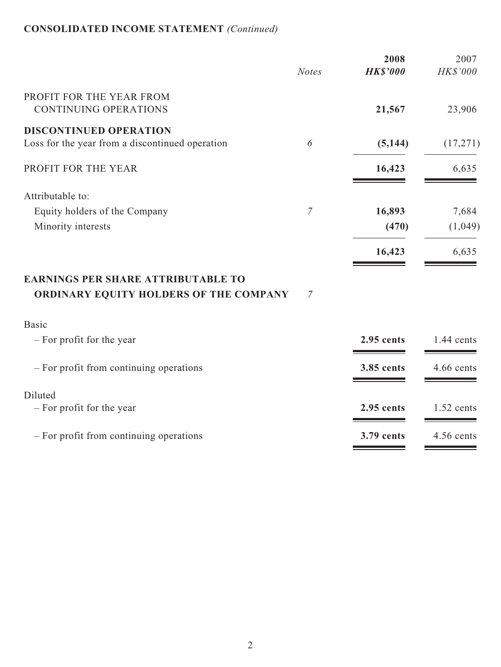# **CONSOLIDATED INCOME STATEMENT** *(Continued)*

|                                                          |                | 2008            | 2007         |
|----------------------------------------------------------|----------------|-----------------|--------------|
|                                                          | <b>Notes</b>   | <b>HK\$'000</b> | HK\$'000     |
| PROFIT FOR THE YEAR FROM<br><b>CONTINUING OPERATIONS</b> |                | 21,567          | 23,906       |
| <b>DISCONTINUED OPERATION</b>                            |                |                 |              |
| Loss for the year from a discontinued operation          | 6              | (5, 144)        | (17,271)     |
| PROFIT FOR THE YEAR                                      |                | 16,423          | 6,635        |
| Attributable to:                                         |                |                 |              |
| Equity holders of the Company                            | $\overline{7}$ | 16,893          | 7,684        |
| Minority interests                                       |                | (470)           | (1,049)      |
|                                                          |                | 16,423          | 6,635        |
| <b>EARNINGS PER SHARE ATTRIBUTABLE TO</b>                |                |                 |              |
| ORDINARY EQUITY HOLDERS OF THE COMPANY                   | 7              |                 |              |
| <b>Basic</b>                                             |                |                 |              |
| - For profit for the year                                |                | 2.95 cents      | $1.44$ cents |
| - For profit from continuing operations                  |                | 3.85 cents      | 4.66 cents   |
| Diluted                                                  |                |                 |              |
| - For profit for the year                                |                | 2.95 cents      | 1.52 cents   |
| - For profit from continuing operations                  |                | 3.79 cents      | 4.56 cents   |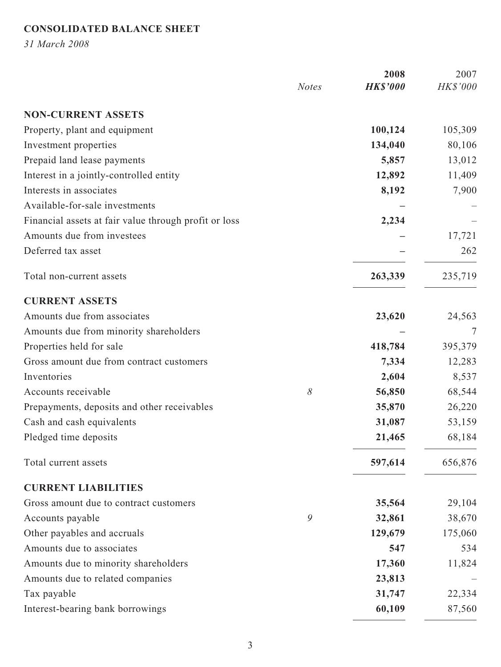# **CONSOLIDATED BALANCE SHEET**

*31 March 2008*

|                                                       |              | 2008            | 2007     |
|-------------------------------------------------------|--------------|-----------------|----------|
|                                                       | <b>Notes</b> | <b>HK\$'000</b> | HK\$'000 |
| <b>NON-CURRENT ASSETS</b>                             |              |                 |          |
| Property, plant and equipment                         |              | 100,124         | 105,309  |
| Investment properties                                 |              | 134,040         | 80,106   |
| Prepaid land lease payments                           |              | 5,857           | 13,012   |
| Interest in a jointly-controlled entity               |              | 12,892          | 11,409   |
| Interests in associates                               |              | 8,192           | 7,900    |
| Available-for-sale investments                        |              |                 |          |
| Financial assets at fair value through profit or loss |              | 2,234           |          |
| Amounts due from investees                            |              |                 | 17,721   |
| Deferred tax asset                                    |              |                 | 262      |
| Total non-current assets                              |              | 263,339         | 235,719  |
| <b>CURRENT ASSETS</b>                                 |              |                 |          |
| Amounts due from associates                           |              | 23,620          | 24,563   |
| Amounts due from minority shareholders                |              |                 | 7        |
| Properties held for sale                              |              | 418,784         | 395,379  |
| Gross amount due from contract customers              |              | 7,334           | 12,283   |
| Inventories                                           |              | 2,604           | 8,537    |
| Accounts receivable                                   | 8            | 56,850          | 68,544   |
| Prepayments, deposits and other receivables           |              | 35,870          | 26,220   |
| Cash and cash equivalents                             |              | 31,087          | 53,159   |
| Pledged time deposits                                 |              | 21,465          | 68,184   |
| Total current assets                                  |              | 597,614         | 656,876  |
| <b>CURRENT LIABILITIES</b>                            |              |                 |          |
| Gross amount due to contract customers                |              | 35,564          | 29,104   |
| Accounts payable                                      | 9            | 32,861          | 38,670   |
| Other payables and accruals                           |              | 129,679         | 175,060  |
| Amounts due to associates                             |              | 547             | 534      |
| Amounts due to minority shareholders                  |              | 17,360          | 11,824   |
| Amounts due to related companies                      |              | 23,813          |          |
| Tax payable                                           |              | 31,747          | 22,334   |
| Interest-bearing bank borrowings                      |              | 60,109          | 87,560   |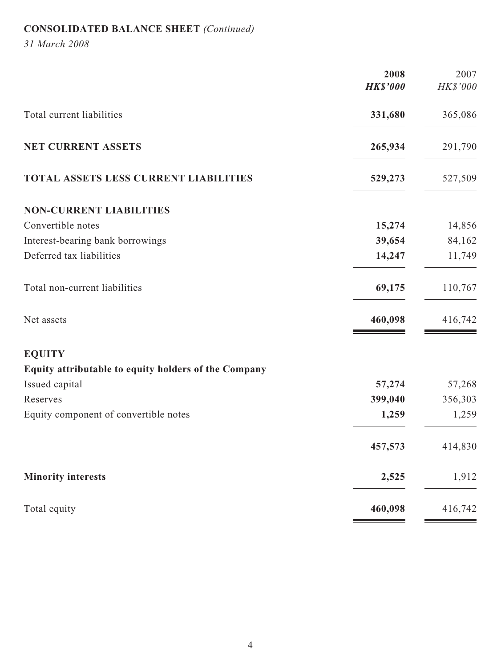# **CONSOLIDATED BALANCE SHEET** *(Continued)*

*31 March 2008*

|                                                      | 2008<br><b>HK\$'000</b> | 2007<br>HK\$'000 |
|------------------------------------------------------|-------------------------|------------------|
|                                                      |                         |                  |
| Total current liabilities                            | 331,680                 | 365,086          |
| NET CURRENT ASSETS                                   | 265,934                 | 291,790          |
| <b>TOTAL ASSETS LESS CURRENT LIABILITIES</b>         | 529,273                 | 527,509          |
| <b>NON-CURRENT LIABILITIES</b>                       |                         |                  |
| Convertible notes                                    | 15,274                  | 14,856           |
| Interest-bearing bank borrowings                     | 39,654                  | 84,162           |
| Deferred tax liabilities                             | 14,247                  | 11,749           |
| Total non-current liabilities                        | 69,175                  | 110,767          |
| Net assets                                           | 460,098                 | 416,742          |
| <b>EQUITY</b>                                        |                         |                  |
| Equity attributable to equity holders of the Company |                         |                  |
| Issued capital                                       | 57,274                  | 57,268           |
| Reserves                                             | 399,040                 | 356,303          |
| Equity component of convertible notes                | 1,259                   | 1,259            |
|                                                      | 457,573                 | 414,830          |
| <b>Minority interests</b>                            | 2,525                   | 1,912            |
| Total equity                                         | 460,098                 | 416,742          |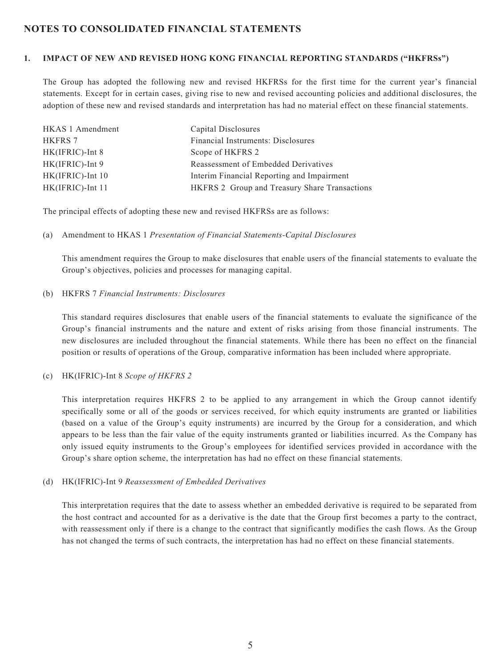# **NOTES TO CONSOLIDATED FINANCIAL STATEMENTS**

#### **1. IMPACT OF NEW AND REVISED HONG KONG FINANCIAL REPORTING STANDARDS ("HKFRSs")**

The Group has adopted the following new and revised HKFRSs for the first time for the current year's financial statements. Except for in certain cases, giving rise to new and revised accounting policies and additional disclosures, the adoption of these new and revised standards and interpretation has had no material effect on these financial statements.

| HKAS 1 Amendment   | Capital Disclosures                           |
|--------------------|-----------------------------------------------|
| <b>HKFRS 7</b>     | Financial Instruments: Disclosures            |
| HK(IFRIC)-Int 8    | Scope of HKFRS 2                              |
| $HK(IFRIC)$ -Int 9 | Reassessment of Embedded Derivatives          |
| HK(IFRIC)-Int 10   | Interim Financial Reporting and Impairment    |
| HK(IFRIC)-Int 11   | HKFRS 2 Group and Treasury Share Transactions |

The principal effects of adopting these new and revised HKFRSs are as follows:

#### (a) Amendment to HKAS 1 *Presentation of Financial Statements-Capital Disclosures*

This amendment requires the Group to make disclosures that enable users of the financial statements to evaluate the Group's objectives, policies and processes for managing capital.

#### (b) HKFRS 7 *Financial Instruments: Disclosures*

This standard requires disclosures that enable users of the financial statements to evaluate the significance of the Group's financial instruments and the nature and extent of risks arising from those financial instruments. The new disclosures are included throughout the financial statements. While there has been no effect on the financial position or results of operations of the Group, comparative information has been included where appropriate.

#### (c) HK(IFRIC)-Int 8 *Scope of HKFRS 2*

This interpretation requires HKFRS 2 to be applied to any arrangement in which the Group cannot identify specifically some or all of the goods or services received, for which equity instruments are granted or liabilities (based on a value of the Group's equity instruments) are incurred by the Group for a consideration, and which appears to be less than the fair value of the equity instruments granted or liabilities incurred. As the Company has only issued equity instruments to the Group's employees for identified services provided in accordance with the Group's share option scheme, the interpretation has had no effect on these financial statements.

#### (d) HK(IFRIC)-Int 9 *Reassessment of Embedded Derivatives*

This interpretation requires that the date to assess whether an embedded derivative is required to be separated from the host contract and accounted for as a derivative is the date that the Group first becomes a party to the contract, with reassessment only if there is a change to the contract that significantly modifies the cash flows. As the Group has not changed the terms of such contracts, the interpretation has had no effect on these financial statements.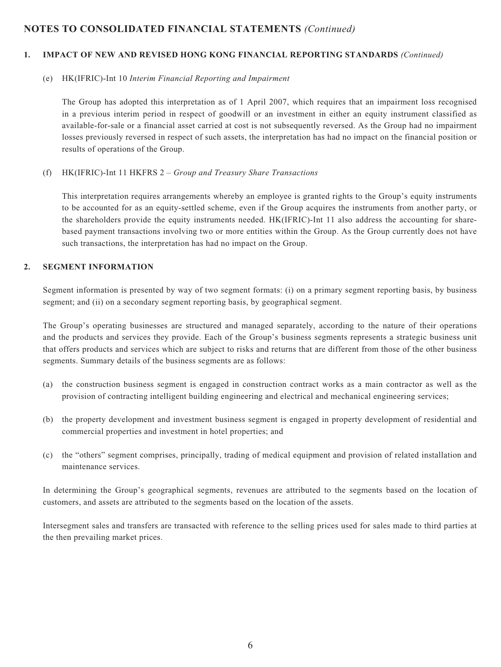#### **1. IMPACT OF NEW AND REVISED HONG KONG FINANCIAL REPORTING STANDARDS** *(Continued)*

#### (e) HK(IFRIC)-Int 10 *Interim Financial Reporting and Impairment*

The Group has adopted this interpretation as of 1 April 2007, which requires that an impairment loss recognised in a previous interim period in respect of goodwill or an investment in either an equity instrument classified as available-for-sale or a financial asset carried at cost is not subsequently reversed. As the Group had no impairment losses previously reversed in respect of such assets, the interpretation has had no impact on the financial position or results of operations of the Group.

#### (f) HK(IFRIC)-Int 11 HKFRS 2 – *Group and Treasury Share Transactions*

This interpretation requires arrangements whereby an employee is granted rights to the Group's equity instruments to be accounted for as an equity-settled scheme, even if the Group acquires the instruments from another party, or the shareholders provide the equity instruments needed. HK(IFRIC)-Int 11 also address the accounting for sharebased payment transactions involving two or more entities within the Group. As the Group currently does not have such transactions, the interpretation has had no impact on the Group.

#### **2. SEGMENT INFORMATION**

Segment information is presented by way of two segment formats: (i) on a primary segment reporting basis, by business segment; and (ii) on a secondary segment reporting basis, by geographical segment.

The Group's operating businesses are structured and managed separately, according to the nature of their operations and the products and services they provide. Each of the Group's business segments represents a strategic business unit that offers products and services which are subject to risks and returns that are different from those of the other business segments. Summary details of the business segments are as follows:

- (a) the construction business segment is engaged in construction contract works as a main contractor as well as the provision of contracting intelligent building engineering and electrical and mechanical engineering services;
- (b) the property development and investment business segment is engaged in property development of residential and commercial properties and investment in hotel properties; and
- (c) the "others" segment comprises, principally, trading of medical equipment and provision of related installation and maintenance services.

In determining the Group's geographical segments, revenues are attributed to the segments based on the location of customers, and assets are attributed to the segments based on the location of the assets.

Intersegment sales and transfers are transacted with reference to the selling prices used for sales made to third parties at the then prevailing market prices.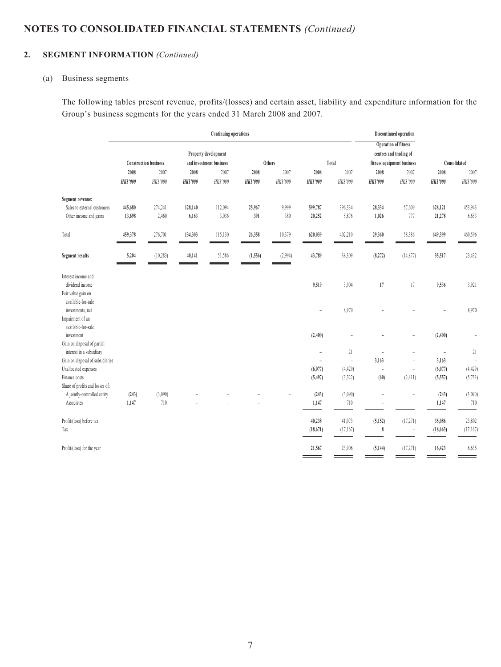# **2. SEGMENT INFORMATION** *(Continued)*

#### (a) Business segments

The following tables present revenue, profits/(losses) and certain asset, liability and expenditure information for the Group's business segments for the years ended 31 March 2008 and 2007.

|                                                                          | <b>Continuing operations</b> |                              |                        |                         |                         |                  |                         | Discontinued operation   |                        |                                                       |                          |                      |
|--------------------------------------------------------------------------|------------------------------|------------------------------|------------------------|-------------------------|-------------------------|------------------|-------------------------|--------------------------|------------------------|-------------------------------------------------------|--------------------------|----------------------|
|                                                                          |                              |                              |                        | Property development    |                         |                  |                         |                          |                        | <b>Operation of fitness</b><br>centres and trading of |                          |                      |
|                                                                          |                              | <b>Construction business</b> |                        | and investment business |                         | Others           |                         | Total                    |                        | fitness equipment business                            |                          | Consolidated         |
|                                                                          | 2008<br><b>HK\$'000</b>      | 2007<br>HK\$'000             | 2008<br><b>HKS'000</b> | 2007<br>HK\$'000        | 2008<br><b>HK\$'000</b> | 2007<br>HK\$'000 | 2008<br><b>HK\$'000</b> | 2007<br>HK\$'000         | 2008<br><b>HKS'000</b> | 2007<br>HK\$'000                                      | 2008<br><b>HKS'000</b>   | 2007<br>HK\$'000     |
| Segment revenue:                                                         |                              |                              |                        |                         |                         |                  |                         |                          |                        |                                                       |                          |                      |
| Sales to external customers<br>Other income and gains                    | 445,680<br>13,698            | 274,241<br>2,460             | 128,140<br>6,163       | 112,094<br>3,036        | 25,967<br>391           | 9,999<br>380     | 599,787<br>20,252       | 396,334<br>5,876         | 28,334<br>1,026        | 57,609<br>777                                         | 628,121<br>21,278        | 453,943<br>6,653     |
| Total                                                                    | 459,378                      | 276,701                      | 134,303                | 115,130                 | 26,358                  | 10,379           | 620,039                 | 402,210                  | 29,360                 | 58,386                                                | 649,399                  | 460,596              |
| <b>Segment results</b>                                                   | 5,204                        | (10, 283)                    | 40,141                 | 51,586                  | (1, 556)                | (2,994)          | 43,789                  | 38,309                   | (8,272)                | (14, 877)                                             | 35,517                   | 23,432               |
| Interest income and<br>dividend income<br>Fair value gain on             |                              |                              |                        |                         |                         |                  | 9,519                   | 3,904                    | 17                     | 17                                                    | 9,536                    | 3,921                |
| available-for-sale<br>investments, net<br>Impairment of an               |                              |                              |                        |                         |                         |                  | $\overline{a}$          | 8,970                    |                        |                                                       |                          | 8,970                |
| available-for-sale<br>investment<br>Gain on disposal of partial          |                              |                              |                        |                         |                         |                  | (2,400)                 |                          |                        | ÷                                                     | (2,400)                  | $\overline{a}$       |
| interest in a subsidiary                                                 |                              |                              |                        |                         |                         |                  | $\overline{a}$          | 21                       | L,                     | $\overline{a}$                                        | $\overline{\phantom{a}}$ | 21                   |
| Gain on disposal of subsidiaries                                         |                              |                              |                        |                         |                         |                  |                         | $\overline{\phantom{a}}$ | 3,163                  | $\overline{a}$                                        | 3,163                    | ÷,                   |
| Unallocated expenses<br>Finance costs<br>Share of profits and losses of: |                              |                              |                        |                         |                         |                  | (6,077)<br>(5, 497)     | (4, 429)<br>(3,322)      | (60)                   | $\overline{a}$<br>(2,411)                             | (6,077)<br>(5,557)       | (4, 429)<br>(5, 733) |
| A jointly-controlled entity<br>Associates                                | (243)<br>1,147               | (3,090)<br>710               |                        |                         |                         |                  | (243)<br>1,147          | (3,090)<br>710           |                        | $\overline{a}$<br>$\overline{a}$                      | (243)<br>1,147           | (3,090)<br>710       |
| Profit/(loss) before tax<br>Tax                                          |                              |                              |                        |                         |                         |                  | 40,238<br>(18, 671)     | 41,073<br>(17, 167)      | (5, 152)<br>8          | (17, 271)<br>$\overline{\phantom{m}}$                 | 35,086<br>(18, 663)      | 23,802<br>(17, 167)  |
| Profit/(loss) for the year                                               |                              |                              |                        |                         |                         |                  | 21,567                  | 23,906                   | (5, 144)               | (17, 271)                                             | 16,423                   | 6,635                |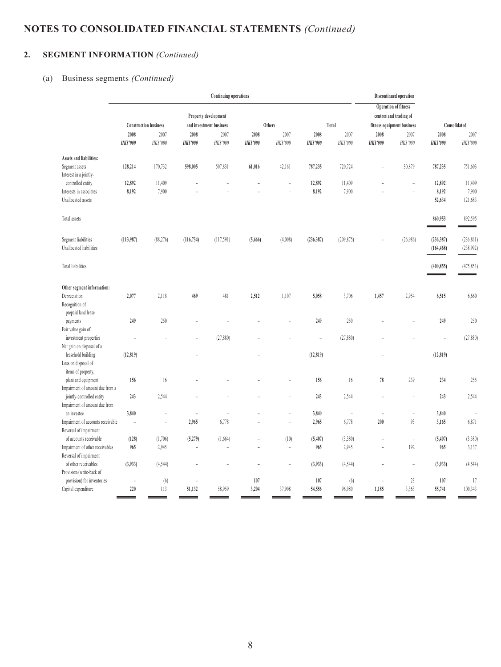# **2. SEGMENT INFORMATION** *(Continued)*

# (a) Business segments *(Continued)*

|                                   | <b>Continuing operations</b> |                              |                |                         |                          |                          |                 | Discontinued operation   |                 |                             |                 |                |
|-----------------------------------|------------------------------|------------------------------|----------------|-------------------------|--------------------------|--------------------------|-----------------|--------------------------|-----------------|-----------------------------|-----------------|----------------|
|                                   |                              |                              |                |                         |                          |                          |                 |                          |                 | <b>Operation of fitness</b> |                 |                |
|                                   |                              |                              |                | Property development    |                          |                          |                 |                          |                 | centres and trading of      |                 |                |
|                                   |                              | <b>Construction business</b> |                | and investment business |                          | Others                   |                 | Total                    |                 | fitness equipment business  |                 | Consolidated   |
|                                   | 2008                         | 2007                         | 2008           | 2007                    | 2008                     | 2007                     | 2008            | 2007                     | 2008            | 2007                        | 2008            | 2007           |
|                                   | <b>HK\$'000</b>              | HK\$'000                     | <b>HKS'000</b> | HK\$'000                | <b>HK\$'000</b>          | HK\$'000                 | <b>HK\$'000</b> | HK\$'000                 | <b>HK\$'000</b> | HK\$'000                    | <b>HK\$'000</b> | HK\$'000       |
| Assets and liabilities:           |                              |                              |                |                         |                          |                          |                 |                          |                 |                             |                 |                |
| Segment assets                    | 128,214                      | 170,732                      | 598,005        | 507,831                 | 61,016                   | 42,161                   | 787,235         | 720,724                  | $\overline{a}$  | 30,879                      | 787,235         | 751,603        |
| Interest in a jointly-            |                              |                              |                |                         |                          |                          |                 |                          |                 |                             |                 |                |
| controlled entity                 | 12,892                       | 11,409                       |                |                         |                          | $\overline{a}$           | 12,892          | 11,409                   |                 | $\overline{a}$              | 12,892          | 11,409         |
| Interests in associates           | 8,192                        | 7,900                        |                |                         |                          |                          | 8,192           | 7,900                    |                 | $\overline{a}$              | 8,192           | 7,900          |
| Unallocated assets                |                              |                              |                |                         |                          |                          |                 |                          |                 |                             | 52,634          | 121,683        |
| Total assets                      |                              |                              |                |                         |                          |                          |                 |                          |                 |                             | 860,953         | 892,595        |
|                                   |                              |                              |                |                         |                          |                          |                 |                          |                 |                             | --              |                |
| Segment liabilities               | (113,987)                    | (88, 276)                    | (116, 734)     | (117, 591)              | (5,666)                  | (4,008)                  | (236, 387)      | (209, 875)               |                 | (26,986)                    | (236, 387)      | (236, 861)     |
| Unallocated liabilities           |                              |                              |                |                         |                          |                          |                 |                          |                 |                             | (164, 468)      | (238, 992)     |
| Total liabilities                 |                              |                              |                |                         |                          |                          |                 |                          |                 |                             | (400, 855)      | (475, 853)     |
|                                   |                              |                              |                |                         |                          |                          |                 |                          |                 |                             |                 |                |
| Other segment information:        |                              |                              |                |                         |                          |                          |                 |                          |                 |                             |                 |                |
| Depreciation                      | 2,077                        | 2,118                        | 469            | 481                     | 2,512                    | 1,107                    | 5,058           | 3,706                    | 1,457           | 2,954                       | 6,515           | 6,660          |
| Recognition of                    |                              |                              |                |                         |                          |                          |                 |                          |                 |                             |                 |                |
| prepaid land lease                |                              |                              |                |                         |                          |                          |                 |                          |                 |                             |                 |                |
| payments                          | 249                          | 250                          |                |                         |                          |                          | 249             | 250                      |                 |                             | 249             | 250            |
| Fair value gain of                |                              |                              |                |                         |                          |                          |                 |                          |                 |                             |                 |                |
| investment properties             | L,                           |                              |                | (27,880)                |                          |                          | ÷,              | (27, 880)                |                 |                             | $\overline{a}$  | (27, 880)      |
| Net gain on disposal of a         |                              |                              |                |                         |                          |                          |                 |                          |                 |                             |                 |                |
| leasehold building                | (12, 819)                    |                              |                |                         |                          |                          | (12, 819)       |                          |                 |                             | (12, 819)       | $\overline{a}$ |
| Loss on disposal of               |                              |                              |                |                         |                          |                          |                 |                          |                 |                             |                 |                |
| items of property,                |                              |                              |                |                         |                          |                          |                 |                          |                 |                             |                 |                |
| plant and equipment               | 156                          | 16                           |                |                         |                          |                          | 156             | 16                       | 78              | 239                         | 234             | 255            |
| Impairment of amount due from a   |                              |                              |                |                         |                          |                          |                 |                          |                 |                             |                 |                |
| jointly-controlled entity         | 243                          | 2,544                        |                |                         |                          |                          | 243             | 2,544                    |                 | $\overline{a}$              | 243             | 2,544          |
| Impairment of amount due from     |                              |                              |                |                         |                          |                          |                 |                          |                 |                             |                 |                |
| an investee                       | 3,840                        | $\overline{a}$               | $\overline{a}$ | ÷                       |                          | $\overline{a}$           | 3,840           | $\overline{\phantom{a}}$ | $\overline{a}$  | $\overline{\phantom{m}}$    | 3,840           |                |
| Impairment of accounts receivable | $\qquad \qquad -$            | $\overline{a}$               | 2,965          | 6,778                   |                          | $\overline{a}$           | 2,965           | 6,778                    | 200             | 93                          | 3,165           | 6,871          |
| Reversal of impairment            |                              |                              |                |                         |                          |                          |                 |                          |                 |                             |                 |                |
| of accounts receivable            | (128)                        | (1,706)                      | (5,279)        | (1,664)                 |                          | (10)                     | (5, 407)        | (3,380)                  |                 | $\overline{a}$              | (5,407)         | (3,380)        |
| Impairment of other receivables   | 965                          | 2,945                        | $\overline{a}$ | $\overline{a}$          | $\overline{\phantom{a}}$ | $\overline{\phantom{a}}$ | 965             | 2,945                    | $\overline{a}$  | 192                         | 965             | 3,137          |
| Reversal of impairment            |                              |                              |                |                         |                          |                          |                 |                          |                 |                             |                 |                |
| of other receivables              | (3,933)                      | (4, 544)                     | $\overline{a}$ |                         | L,                       | L,                       | (3,933)         | (4, 544)                 |                 | $\overline{a}$              | (3,933)         | (4, 544)       |
| Provision/(write-back of          |                              |                              |                |                         |                          |                          |                 |                          |                 |                             |                 |                |
| provision) for inventories        | $\overline{a}$               | (6)                          | $\overline{a}$ | ÷                       | 107                      | $\overline{a}$           | 107             | (6)                      |                 | 23                          | 107             | 17             |
| Capital expenditure               | 220                          | 113                          | 51,132         | 58,959                  | 3,204                    | 37,908                   | 54,556          | 96,980                   | 1,185           | 3,363                       | 55,741          | 100,343        |
|                                   |                              |                              |                |                         |                          |                          |                 |                          |                 |                             |                 |                |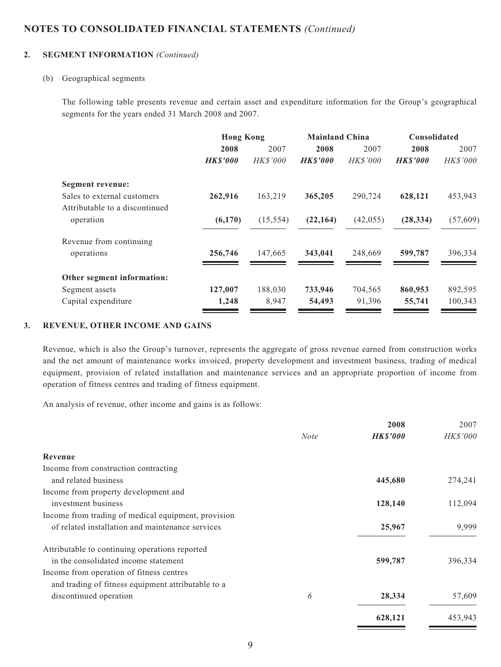#### **2. SEGMENT INFORMATION** *(Continued)*

#### (b) Geographical segments

The following table presents revenue and certain asset and expenditure information for the Group's geographical segments for the years ended 31 March 2008 and 2007.

|                                                               | <b>Hong Kong</b> |                 | <b>Mainland China</b> |                 | <b>Consolidated</b> |           |  |
|---------------------------------------------------------------|------------------|-----------------|-----------------------|-----------------|---------------------|-----------|--|
|                                                               | 2008             | 2007            | 2008                  | 2007            | 2008                | 2007      |  |
|                                                               | <b>HKS'000</b>   | <b>HK\$'000</b> | <b>HKS'000</b>        | <b>HK\$'000</b> | <b>HKS'000</b>      | HK\$'000  |  |
| Segment revenue:                                              |                  |                 |                       |                 |                     |           |  |
| Sales to external customers<br>Attributable to a discontinued | 262,916          | 163,219         | 365,205               | 290,724         | 628,121             | 453,943   |  |
| operation                                                     | (6,170)          | (15, 554)       | (22, 164)             | (42, 055)       | (28, 334)           | (57, 609) |  |
| Revenue from continuing                                       |                  |                 |                       |                 |                     |           |  |
| operations                                                    | 256,746          | 147,665         | 343,041               | 248,669         | 599,787             | 396,334   |  |
| Other segment information:                                    |                  |                 |                       |                 |                     |           |  |
| Segment assets                                                | 127,007          | 188,030         | 733,946               | 704,565         | 860,953             | 892,595   |  |
| Capital expenditure                                           | 1,248            | 8,947           | 54,493                | 91,396          | 55,741              | 100,343   |  |

#### **3. REVENUE, OTHER INCOME AND GAINS**

Revenue, which is also the Group's turnover, represents the aggregate of gross revenue earned from construction works and the net amount of maintenance works invoiced, property development and investment business, trading of medical equipment, provision of related installation and maintenance services and an appropriate proportion of income from operation of fitness centres and trading of fitness equipment.

An analysis of revenue, other income and gains is as follows:

|                                                     |             | 2008            | 2007     |
|-----------------------------------------------------|-------------|-----------------|----------|
|                                                     | <b>Note</b> | <b>HK\$'000</b> | HK\$'000 |
| Revenue                                             |             |                 |          |
| Income from construction contracting                |             |                 |          |
| and related business                                |             | 445,680         | 274,241  |
| Income from property development and                |             |                 |          |
| investment business                                 |             | 128,140         | 112,094  |
| Income from trading of medical equipment, provision |             |                 |          |
| of related installation and maintenance services    |             | 25,967          | 9,999    |
| Attributable to continuing operations reported      |             |                 |          |
| in the consolidated income statement                |             | 599,787         | 396,334  |
| Income from operation of fitness centres            |             |                 |          |
| and trading of fitness equipment attributable to a  |             |                 |          |
| discontinued operation                              | 6           | 28,334          | 57,609   |
|                                                     |             | 628,121         | 453,943  |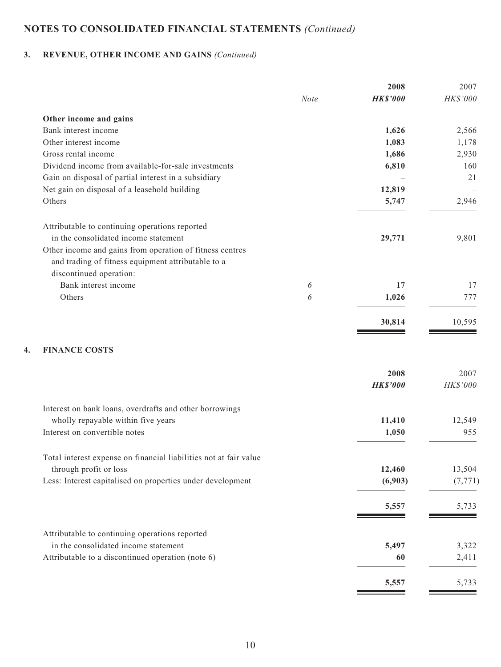# **3. REVENUE, OTHER INCOME AND GAINS** *(Continued)*

|                                                                                                                                           |             | 2008            | 2007     |
|-------------------------------------------------------------------------------------------------------------------------------------------|-------------|-----------------|----------|
|                                                                                                                                           | <b>Note</b> | <b>HK\$'000</b> | HK\$'000 |
| Other income and gains                                                                                                                    |             |                 |          |
| Bank interest income                                                                                                                      |             | 1,626           | 2,566    |
| Other interest income                                                                                                                     |             | 1,083           | 1,178    |
| Gross rental income                                                                                                                       |             | 1,686           | 2,930    |
| Dividend income from available-for-sale investments                                                                                       |             | 6,810           | 160      |
| Gain on disposal of partial interest in a subsidiary                                                                                      |             |                 | 21       |
| Net gain on disposal of a leasehold building                                                                                              |             | 12,819          |          |
| Others                                                                                                                                    |             | 5,747           | 2,946    |
| Attributable to continuing operations reported                                                                                            |             |                 |          |
| in the consolidated income statement                                                                                                      |             | 29,771          | 9,801    |
| Other income and gains from operation of fitness centres<br>and trading of fitness equipment attributable to a<br>discontinued operation: |             |                 |          |
| Bank interest income                                                                                                                      | 6           | 17              | 17       |
| Others                                                                                                                                    | 6           | 1,026           | 777      |
|                                                                                                                                           |             | 30,814          | 10,595   |
| <b>FINANCE COSTS</b><br>4.                                                                                                                |             |                 |          |
|                                                                                                                                           |             | 2008            | 2007     |
|                                                                                                                                           |             | <b>HK\$'000</b> | HK\$'000 |
| Interest on bank loans, overdrafts and other borrowings                                                                                   |             |                 |          |
| wholly repayable within five years                                                                                                        |             | 11,410          | 12,549   |
| Interest on convertible notes                                                                                                             |             | 1,050           | 955      |
| Total interest expense on financial liabilities not at fair value                                                                         |             |                 |          |
| through profit or loss                                                                                                                    |             | 12,460          | 13,504   |
| Less: Interest capitalised on properties under development                                                                                |             | (6,903)         | (7, 771) |
|                                                                                                                                           |             | 5,557           | 5,733    |
| Attributable to continuing operations reported                                                                                            |             |                 |          |
| in the consolidated income statement                                                                                                      |             | 5,497           | 3,322    |
| Attributable to a discontinued operation (note 6)                                                                                         |             | 60              | 2,411    |
|                                                                                                                                           |             | 5,557           | 5,733    |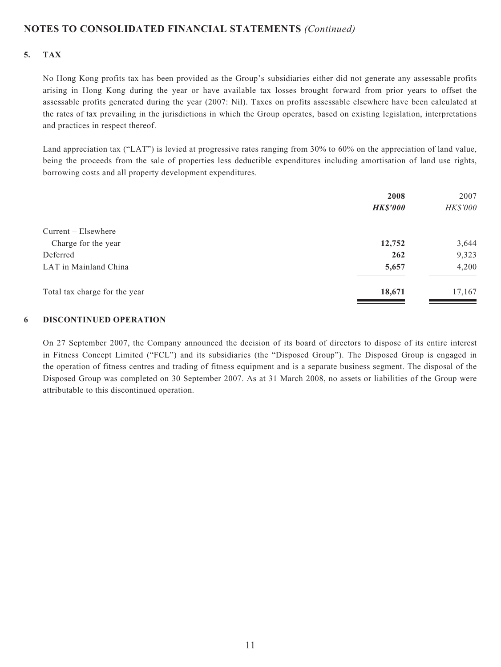#### **5. TAX**

No Hong Kong profits tax has been provided as the Group's subsidiaries either did not generate any assessable profits arising in Hong Kong during the year or have available tax losses brought forward from prior years to offset the assessable profits generated during the year (2007: Nil). Taxes on profits assessable elsewhere have been calculated at the rates of tax prevailing in the jurisdictions in which the Group operates, based on existing legislation, interpretations and practices in respect thereof.

Land appreciation tax ("LAT") is levied at progressive rates ranging from 30% to 60% on the appreciation of land value, being the proceeds from the sale of properties less deductible expenditures including amortisation of land use rights, borrowing costs and all property development expenditures.

|                               | 2008<br><b>HK\$'000</b> | 2007<br>HK\$'000 |
|-------------------------------|-------------------------|------------------|
|                               |                         |                  |
| $Current - Elsewhere$         |                         |                  |
| Charge for the year           | 12,752                  | 3,644            |
| Deferred                      | 262                     | 9,323            |
| LAT in Mainland China         | 5,657                   | 4,200            |
| Total tax charge for the year | 18,671                  | 17,167           |

#### **6 DISCONTINUED OPERATION**

On 27 September 2007, the Company announced the decision of its board of directors to dispose of its entire interest in Fitness Concept Limited ("FCL") and its subsidiaries (the "Disposed Group"). The Disposed Group is engaged in the operation of fitness centres and trading of fitness equipment and is a separate business segment. The disposal of the Disposed Group was completed on 30 September 2007. As at 31 March 2008, no assets or liabilities of the Group were attributable to this discontinued operation.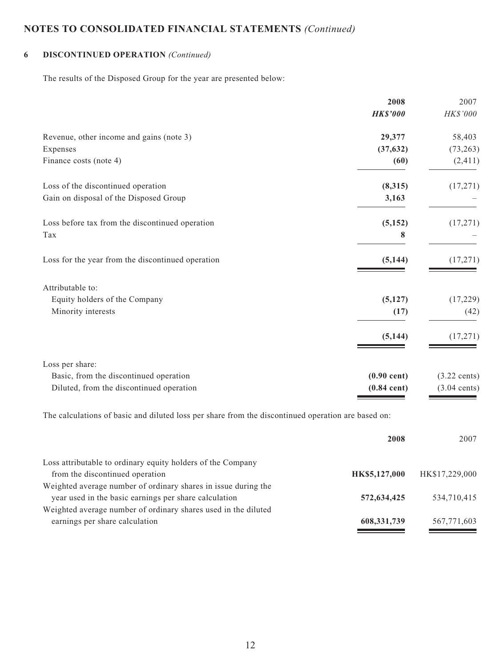# **6 DISCONTINUED OPERATION** *(Continued)*

The results of the Disposed Group for the year are presented below:

|                                                   | 2008            | 2007                   |
|---------------------------------------------------|-----------------|------------------------|
|                                                   | <b>HK\$'000</b> | HK\$'000               |
| Revenue, other income and gains (note 3)          | 29,377          | 58,403                 |
| Expenses                                          | (37, 632)       | (73, 263)              |
| Finance costs (note 4)                            | (60)            | (2, 411)               |
| Loss of the discontinued operation                | (8,315)         | (17, 271)              |
| Gain on disposal of the Disposed Group            | 3,163           |                        |
| Loss before tax from the discontinued operation   | (5, 152)        | (17,271)               |
| Tax                                               | 8               |                        |
| Loss for the year from the discontinued operation | (5, 144)        | (17, 271)              |
| Attributable to:                                  |                 |                        |
| Equity holders of the Company                     | (5, 127)        | (17, 229)              |
| Minority interests                                | (17)            | (42)                   |
|                                                   | (5, 144)        | (17, 271)              |
| Loss per share:                                   |                 |                        |
| Basic, from the discontinued operation            | $(0.90$ cent)   | $(3.22 \text{ cents})$ |
| Diluted, from the discontinued operation          | $(0.84$ cent)   | $(3.04 \text{ cents})$ |
|                                                   |                 |                        |

The calculations of basic and diluted loss per share from the discontinued operation are based on:

|                                                                | 2008          | 2007           |
|----------------------------------------------------------------|---------------|----------------|
| Loss attributable to ordinary equity holders of the Company    |               |                |
| from the discontinued operation                                | HK\$5,127,000 | HK\$17,229,000 |
| Weighted average number of ordinary shares in issue during the |               |                |
| year used in the basic earnings per share calculation          | 572,634,425   | 534,710,415    |
| Weighted average number of ordinary shares used in the diluted |               |                |
| earnings per share calculation                                 | 608, 331, 739 | 567,771,603    |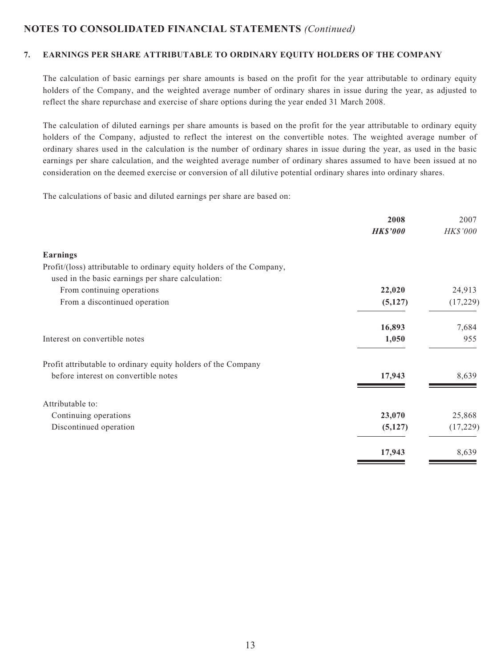#### **7. EARNINGS PER SHARE ATTRIBUTABLE TO ORDINARY EQUITY HOLDERS OF THE COMPANY**

The calculation of basic earnings per share amounts is based on the profit for the year attributable to ordinary equity holders of the Company, and the weighted average number of ordinary shares in issue during the year, as adjusted to reflect the share repurchase and exercise of share options during the year ended 31 March 2008.

The calculation of diluted earnings per share amounts is based on the profit for the year attributable to ordinary equity holders of the Company, adjusted to reflect the interest on the convertible notes. The weighted average number of ordinary shares used in the calculation is the number of ordinary shares in issue during the year, as used in the basic earnings per share calculation, and the weighted average number of ordinary shares assumed to have been issued at no consideration on the deemed exercise or conversion of all dilutive potential ordinary shares into ordinary shares.

The calculations of basic and diluted earnings per share are based on:

|                                                                       | 2008            | 2007     |
|-----------------------------------------------------------------------|-----------------|----------|
|                                                                       | <b>HK\$'000</b> | HK\$'000 |
| <b>Earnings</b>                                                       |                 |          |
| Profit/(loss) attributable to ordinary equity holders of the Company, |                 |          |
| used in the basic earnings per share calculation:                     |                 |          |
| From continuing operations                                            | 22,020          | 24,913   |
| From a discontinued operation                                         | (5,127)         | (17,229) |
|                                                                       | 16,893          | 7,684    |
| Interest on convertible notes                                         | 1,050           | 955      |
| Profit attributable to ordinary equity holders of the Company         |                 |          |
| before interest on convertible notes                                  | 17,943          | 8,639    |
| Attributable to:                                                      |                 |          |
| Continuing operations                                                 | 23,070          | 25,868   |
| Discontinued operation                                                | (5,127)         | (17,229) |
|                                                                       | 17,943          | 8,639    |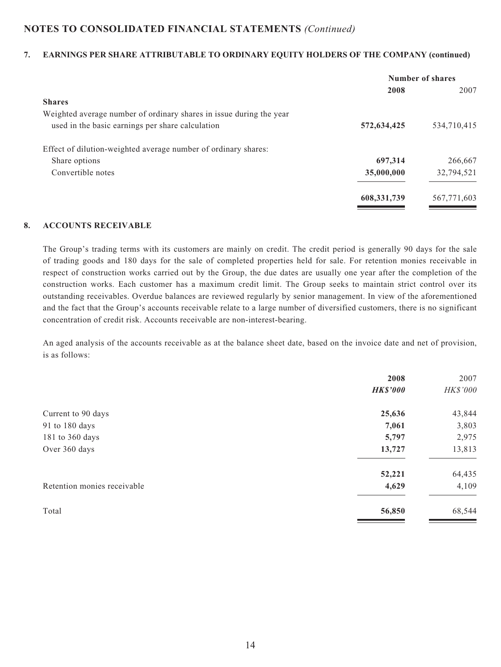#### **7. EARNINGS PER SHARE ATTRIBUTABLE TO ORDINARY EQUITY HOLDERS OF THE COMPANY (continued)**

|                                                                     | <b>Number of shares</b> |             |
|---------------------------------------------------------------------|-------------------------|-------------|
|                                                                     | 2008                    | 2007        |
| <b>Shares</b>                                                       |                         |             |
| Weighted average number of ordinary shares in issue during the year |                         |             |
| used in the basic earnings per share calculation                    | 572,634,425             | 534,710,415 |
| Effect of dilution-weighted average number of ordinary shares:      |                         |             |
| Share options                                                       | 697,314                 | 266,667     |
| Convertible notes                                                   | 35,000,000              | 32,794,521  |
|                                                                     | 608, 331, 739           | 567,771,603 |
|                                                                     |                         |             |

#### **8. ACCOUNTS RECEIVABLE**

The Group's trading terms with its customers are mainly on credit. The credit period is generally 90 days for the sale of trading goods and 180 days for the sale of completed properties held for sale. For retention monies receivable in respect of construction works carried out by the Group, the due dates are usually one year after the completion of the construction works. Each customer has a maximum credit limit. The Group seeks to maintain strict control over its outstanding receivables. Overdue balances are reviewed regularly by senior management. In view of the aforementioned and the fact that the Group's accounts receivable relate to a large number of diversified customers, there is no significant concentration of credit risk. Accounts receivable are non-interest-bearing.

An aged analysis of the accounts receivable as at the balance sheet date, based on the invoice date and net of provision, is as follows:

|                             | 2008            | 2007     |
|-----------------------------|-----------------|----------|
|                             | <b>HK\$'000</b> | HK\$'000 |
| Current to 90 days          | 25,636          | 43,844   |
| 91 to 180 days              | 7,061           | 3,803    |
| 181 to 360 days             | 5,797           | 2,975    |
| Over 360 days               | 13,727          | 13,813   |
|                             | 52,221          | 64,435   |
| Retention monies receivable | 4,629           | 4,109    |
| Total                       | 56,850          | 68,544   |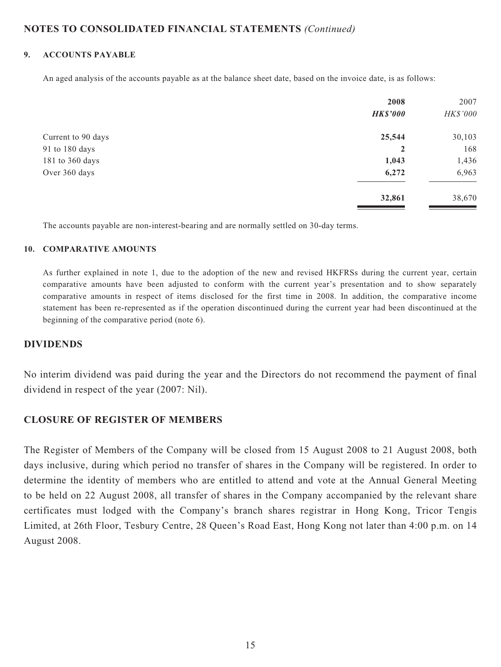#### **9. ACCOUNTS PAYABLE**

An aged analysis of the accounts payable as at the balance sheet date, based on the invoice date, is as follows:

|                    | 2008<br><b>HK\$'000</b> | 2007<br>HK\$'000 |
|--------------------|-------------------------|------------------|
| Current to 90 days | 25,544                  | 30,103           |
| 91 to 180 days     | $\overline{2}$          | 168              |
| 181 to 360 days    | 1,043                   | 1,436            |
| Over 360 days      | 6,272                   | 6,963            |
|                    | 32,861                  | 38,670           |

The accounts payable are non-interest-bearing and are normally settled on 30-day terms.

#### **10. COMPARATIVE AMOUNTS**

As further explained in note 1, due to the adoption of the new and revised HKFRSs during the current year, certain comparative amounts have been adjusted to conform with the current year's presentation and to show separately comparative amounts in respect of items disclosed for the first time in 2008. In addition, the comparative income statement has been re-represented as if the operation discontinued during the current year had been discontinued at the beginning of the comparative period (note 6).

### **DIVIDENDS**

No interim dividend was paid during the year and the Directors do not recommend the payment of final dividend in respect of the year (2007: Nil).

### **CLOSURE OF REGISTER OF MEMBERS**

The Register of Members of the Company will be closed from 15 August 2008 to 21 August 2008, both days inclusive, during which period no transfer of shares in the Company will be registered. In order to determine the identity of members who are entitled to attend and vote at the Annual General Meeting to be held on 22 August 2008, all transfer of shares in the Company accompanied by the relevant share certificates must lodged with the Company's branch shares registrar in Hong Kong, Tricor Tengis Limited, at 26th Floor, Tesbury Centre, 28 Queen's Road East, Hong Kong not later than 4:00 p.m. on 14 August 2008.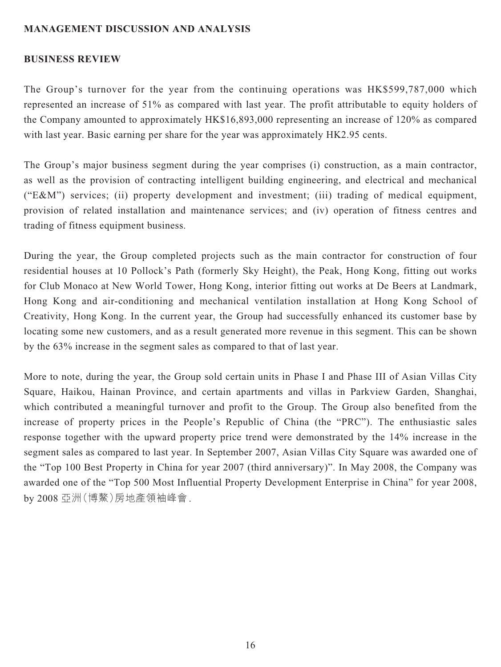# **MANAGEMENT DISCUSSION AND ANALYSIS**

### **BUSINESS REVIEW**

The Group's turnover for the year from the continuing operations was HK\$599,787,000 which represented an increase of 51% as compared with last year. The profit attributable to equity holders of the Company amounted to approximately HK\$16,893,000 representing an increase of 120% as compared with last year. Basic earning per share for the year was approximately HK2.95 cents.

The Group's major business segment during the year comprises (i) construction, as a main contractor, as well as the provision of contracting intelligent building engineering, and electrical and mechanical ("E&M") services; (ii) property development and investment; (iii) trading of medical equipment, provision of related installation and maintenance services; and (iv) operation of fitness centres and trading of fitness equipment business.

During the year, the Group completed projects such as the main contractor for construction of four residential houses at 10 Pollock's Path (formerly Sky Height), the Peak, Hong Kong, fitting out works for Club Monaco at New World Tower, Hong Kong, interior fitting out works at De Beers at Landmark, Hong Kong and air-conditioning and mechanical ventilation installation at Hong Kong School of Creativity, Hong Kong. In the current year, the Group had successfully enhanced its customer base by locating some new customers, and as a result generated more revenue in this segment. This can be shown by the 63% increase in the segment sales as compared to that of last year.

More to note, during the year, the Group sold certain units in Phase I and Phase III of Asian Villas City Square, Haikou, Hainan Province, and certain apartments and villas in Parkview Garden, Shanghai, which contributed a meaningful turnover and profit to the Group. The Group also benefited from the increase of property prices in the People's Republic of China (the "PRC"). The enthusiastic sales response together with the upward property price trend were demonstrated by the 14% increase in the segment sales as compared to last year. In September 2007, Asian Villas City Square was awarded one of the "Top 100 Best Property in China for year 2007 (third anniversary)". In May 2008, the Company was awarded one of the "Top 500 Most Influential Property Development Enterprise in China" for year 2008, by 2008 亞洲(博鰲)房地產領袖峰會.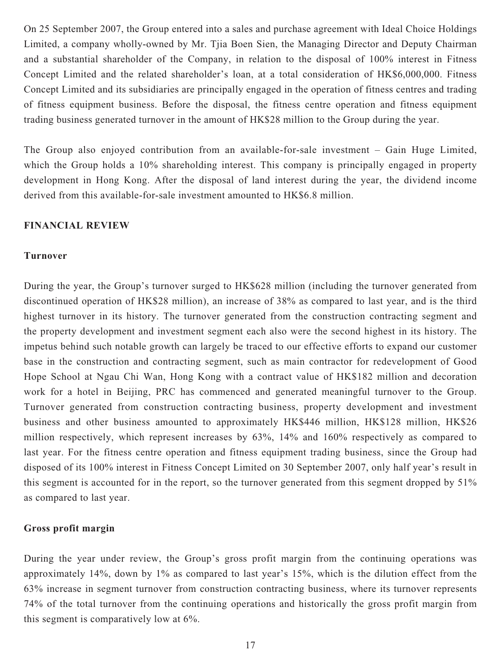On 25 September 2007, the Group entered into a sales and purchase agreement with Ideal Choice Holdings Limited, a company wholly-owned by Mr. Tjia Boen Sien, the Managing Director and Deputy Chairman and a substantial shareholder of the Company, in relation to the disposal of 100% interest in Fitness Concept Limited and the related shareholder's loan, at a total consideration of HK\$6,000,000. Fitness Concept Limited and its subsidiaries are principally engaged in the operation of fitness centres and trading of fitness equipment business. Before the disposal, the fitness centre operation and fitness equipment trading business generated turnover in the amount of HK\$28 million to the Group during the year.

The Group also enjoyed contribution from an available-for-sale investment – Gain Huge Limited, which the Group holds a 10% shareholding interest. This company is principally engaged in property development in Hong Kong. After the disposal of land interest during the year, the dividend income derived from this available-for-sale investment amounted to HK\$6.8 million.

#### **FINANCIAL REVIEW**

#### **Turnover**

During the year, the Group's turnover surged to HK\$628 million (including the turnover generated from discontinued operation of HK\$28 million), an increase of 38% as compared to last year, and is the third highest turnover in its history. The turnover generated from the construction contracting segment and the property development and investment segment each also were the second highest in its history. The impetus behind such notable growth can largely be traced to our effective efforts to expand our customer base in the construction and contracting segment, such as main contractor for redevelopment of Good Hope School at Ngau Chi Wan, Hong Kong with a contract value of HK\$182 million and decoration work for a hotel in Beijing, PRC has commenced and generated meaningful turnover to the Group. Turnover generated from construction contracting business, property development and investment business and other business amounted to approximately HK\$446 million, HK\$128 million, HK\$26 million respectively, which represent increases by 63%, 14% and 160% respectively as compared to last year. For the fitness centre operation and fitness equipment trading business, since the Group had disposed of its 100% interest in Fitness Concept Limited on 30 September 2007, only half year's result in this segment is accounted for in the report, so the turnover generated from this segment dropped by 51% as compared to last year.

#### **Gross profit margin**

During the year under review, the Group's gross profit margin from the continuing operations was approximately 14%, down by 1% as compared to last year's 15%, which is the dilution effect from the 63% increase in segment turnover from construction contracting business, where its turnover represents 74% of the total turnover from the continuing operations and historically the gross profit margin from this segment is comparatively low at 6%.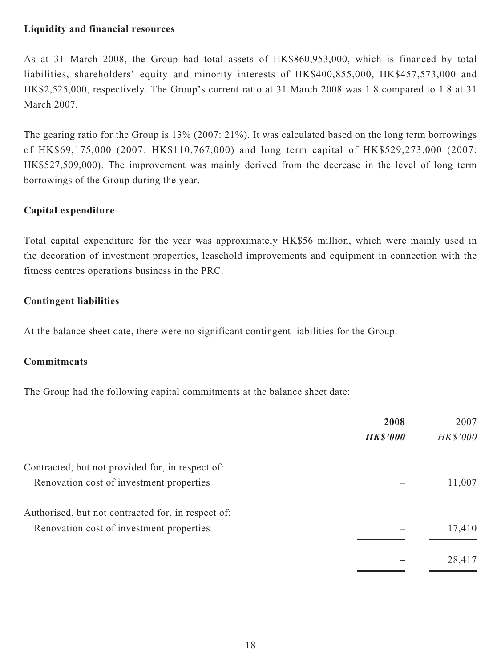# **Liquidity and financial resources**

As at 31 March 2008, the Group had total assets of HK\$860,953,000, which is financed by total liabilities, shareholders' equity and minority interests of HK\$400,855,000, HK\$457,573,000 and HK\$2,525,000, respectively. The Group's current ratio at 31 March 2008 was 1.8 compared to 1.8 at 31 March 2007.

The gearing ratio for the Group is 13% (2007: 21%). It was calculated based on the long term borrowings of HK\$69,175,000 (2007: HK\$110,767,000) and long term capital of HK\$529,273,000 (2007: HK\$527,509,000). The improvement was mainly derived from the decrease in the level of long term borrowings of the Group during the year.

# **Capital expenditure**

Total capital expenditure for the year was approximately HK\$56 million, which were mainly used in the decoration of investment properties, leasehold improvements and equipment in connection with the fitness centres operations business in the PRC.

# **Contingent liabilities**

At the balance sheet date, there were no significant contingent liabilities for the Group.

# **Commitments**

The Group had the following capital commitments at the balance sheet date:

| 2008            | 2007     |
|-----------------|----------|
| <b>HK\$'000</b> | HK\$'000 |
|                 |          |
|                 | 11,007   |
|                 |          |
|                 | 17,410   |
|                 | 28,417   |
|                 |          |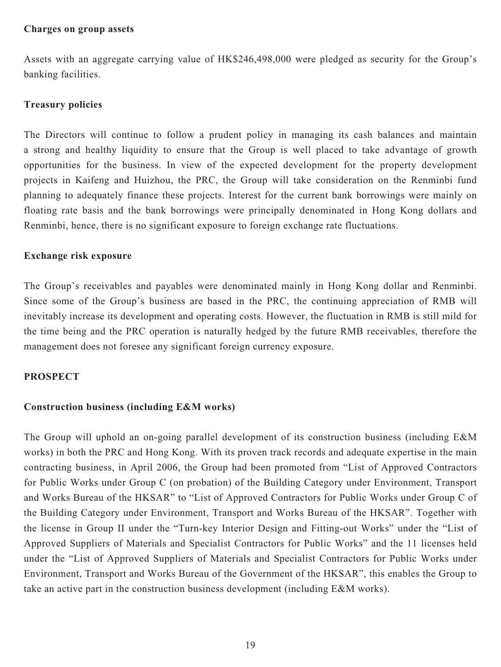#### **Charges on group assets**

Assets with an aggregate carrying value of HK\$246,498,000 were pledged as security for the Group's banking facilities.

# **Treasury policies**

The Directors will continue to follow a prudent policy in managing its cash balances and maintain a strong and healthy liquidity to ensure that the Group is well placed to take advantage of growth opportunities for the business. In view of the expected development for the property development projects in Kaifeng and Huizhou, the PRC, the Group will take consideration on the Renminbi fund planning to adequately finance these projects. Interest for the current bank borrowings were mainly on floating rate basis and the bank borrowings were principally denominated in Hong Kong dollars and Renminbi, hence, there is no significant exposure to foreign exchange rate fluctuations.

### **Exchange risk exposure**

The Group's receivables and payables were denominated mainly in Hong Kong dollar and Renminbi. Since some of the Group's business are based in the PRC, the continuing appreciation of RMB will inevitably increase its development and operating costs. However, the fluctuation in RMB is still mild for the time being and the PRC operation is naturally hedged by the future RMB receivables, therefore the management does not foresee any significant foreign currency exposure.

### **PROSPECT**

### **Construction business (including E&M works)**

The Group will uphold an on-going parallel development of its construction business (including E&M works) in both the PRC and Hong Kong. With its proven track records and adequate expertise in the main contracting business, in April 2006, the Group had been promoted from "List of Approved Contractors for Public Works under Group C (on probation) of the Building Category under Environment, Transport and Works Bureau of the HKSAR" to "List of Approved Contractors for Public Works under Group C of the Building Category under Environment, Transport and Works Bureau of the HKSAR". Together with the license in Group II under the "Turn-key Interior Design and Fitting-out Works" under the "List of Approved Suppliers of Materials and Specialist Contractors for Public Works" and the 11 licenses held under the "List of Approved Suppliers of Materials and Specialist Contractors for Public Works under Environment, Transport and Works Bureau of the Government of the HKSAR", this enables the Group to take an active part in the construction business development (including E&M works).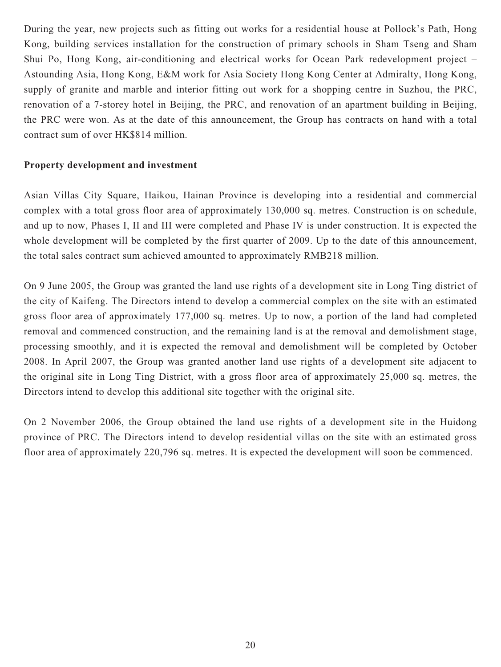During the year, new projects such as fitting out works for a residential house at Pollock's Path, Hong Kong, building services installation for the construction of primary schools in Sham Tseng and Sham Shui Po, Hong Kong, air-conditioning and electrical works for Ocean Park redevelopment project – Astounding Asia, Hong Kong, E&M work for Asia Society Hong Kong Center at Admiralty, Hong Kong, supply of granite and marble and interior fitting out work for a shopping centre in Suzhou, the PRC, renovation of a 7-storey hotel in Beijing, the PRC, and renovation of an apartment building in Beijing, the PRC were won. As at the date of this announcement, the Group has contracts on hand with a total contract sum of over HK\$814 million.

# **Property development and investment**

Asian Villas City Square, Haikou, Hainan Province is developing into a residential and commercial complex with a total gross floor area of approximately 130,000 sq. metres. Construction is on schedule, and up to now, Phases I, II and III were completed and Phase IV is under construction. It is expected the whole development will be completed by the first quarter of 2009. Up to the date of this announcement, the total sales contract sum achieved amounted to approximately RMB218 million.

On 9 June 2005, the Group was granted the land use rights of a development site in Long Ting district of the city of Kaifeng. The Directors intend to develop a commercial complex on the site with an estimated gross floor area of approximately 177,000 sq. metres. Up to now, a portion of the land had completed removal and commenced construction, and the remaining land is at the removal and demolishment stage, processing smoothly, and it is expected the removal and demolishment will be completed by October 2008. In April 2007, the Group was granted another land use rights of a development site adjacent to the original site in Long Ting District, with a gross floor area of approximately 25,000 sq. metres, the Directors intend to develop this additional site together with the original site.

On 2 November 2006, the Group obtained the land use rights of a development site in the Huidong province of PRC. The Directors intend to develop residential villas on the site with an estimated gross floor area of approximately 220,796 sq. metres. It is expected the development will soon be commenced.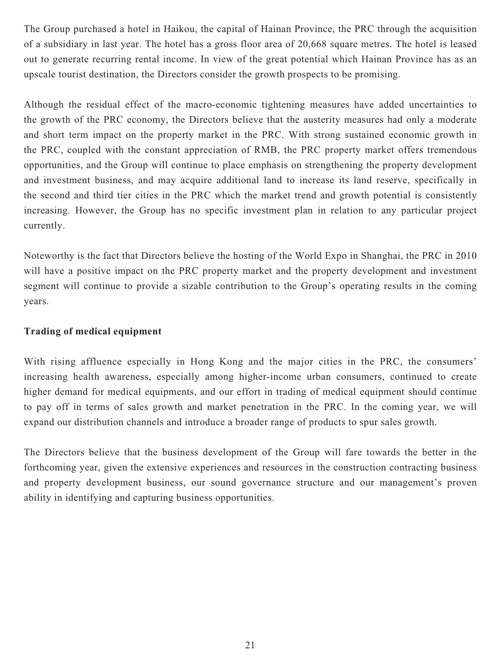The Group purchased a hotel in Haikou, the capital of Hainan Province, the PRC through the acquisition of a subsidiary in last year. The hotel has a gross floor area of 20,668 square metres. The hotel is leased out to generate recurring rental income. In view of the great potential which Hainan Province has as an upscale tourist destination, the Directors consider the growth prospects to be promising.

Although the residual effect of the macro-economic tightening measures have added uncertainties to the growth of the PRC economy, the Directors believe that the austerity measures had only a moderate and short term impact on the property market in the PRC. With strong sustained economic growth in the PRC, coupled with the constant appreciation of RMB, the PRC property market offers tremendous opportunities, and the Group will continue to place emphasis on strengthening the property development and investment business, and may acquire additional land to increase its land reserve, specifically in the second and third tier cities in the PRC which the market trend and growth potential is consistently increasing. However, the Group has no specific investment plan in relation to any particular project currently.

Noteworthy is the fact that Directors believe the hosting of the World Expo in Shanghai, the PRC in 2010 will have a positive impact on the PRC property market and the property development and investment segment will continue to provide a sizable contribution to the Group's operating results in the coming years.

# **Trading of medical equipment**

With rising affluence especially in Hong Kong and the major cities in the PRC, the consumers' increasing health awareness, especially among higher-income urban consumers, continued to create higher demand for medical equipments, and our effort in trading of medical equipment should continue to pay off in terms of sales growth and market penetration in the PRC. In the coming year, we will expand our distribution channels and introduce a broader range of products to spur sales growth.

The Directors believe that the business development of the Group will fare towards the better in the forthcoming year, given the extensive experiences and resources in the construction contracting business and property development business, our sound governance structure and our management's proven ability in identifying and capturing business opportunities.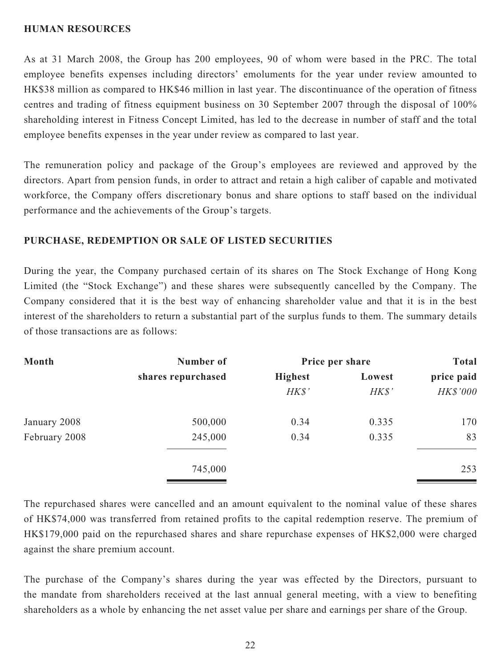## **HUMAN RESOURCES**

As at 31 March 2008, the Group has 200 employees, 90 of whom were based in the PRC. The total employee benefits expenses including directors' emoluments for the year under review amounted to HK\$38 million as compared to HK\$46 million in last year. The discontinuance of the operation of fitness centres and trading of fitness equipment business on 30 September 2007 through the disposal of 100% shareholding interest in Fitness Concept Limited, has led to the decrease in number of staff and the total employee benefits expenses in the year under review as compared to last year.

The remuneration policy and package of the Group's employees are reviewed and approved by the directors. Apart from pension funds, in order to attract and retain a high caliber of capable and motivated workforce, the Company offers discretionary bonus and share options to staff based on the individual performance and the achievements of the Group's targets.

# **PURCHASE, REDEMPTION OR SALE OF LISTED SECURITIES**

During the year, the Company purchased certain of its shares on The Stock Exchange of Hong Kong Limited (the "Stock Exchange") and these shares were subsequently cancelled by the Company. The Company considered that it is the best way of enhancing shareholder value and that it is in the best interest of the shareholders to return a substantial part of the surplus funds to them. The summary details of those transactions are as follows:

| Month         | Number of          | Price per share |        | <b>Total</b> |
|---------------|--------------------|-----------------|--------|--------------|
|               | shares repurchased | <b>Highest</b>  | Lowest | price paid   |
|               |                    | H K S'          | H K S' | HK\$'000     |
| January 2008  | 500,000            | 0.34            | 0.335  | 170          |
| February 2008 | 245,000            | 0.34            | 0.335  | 83           |
|               | 745,000            |                 |        | 253          |

The repurchased shares were cancelled and an amount equivalent to the nominal value of these shares of HK\$74,000 was transferred from retained profits to the capital redemption reserve. The premium of HK\$179,000 paid on the repurchased shares and share repurchase expenses of HK\$2,000 were charged against the share premium account.

The purchase of the Company's shares during the year was effected by the Directors, pursuant to the mandate from shareholders received at the last annual general meeting, with a view to benefiting shareholders as a whole by enhancing the net asset value per share and earnings per share of the Group.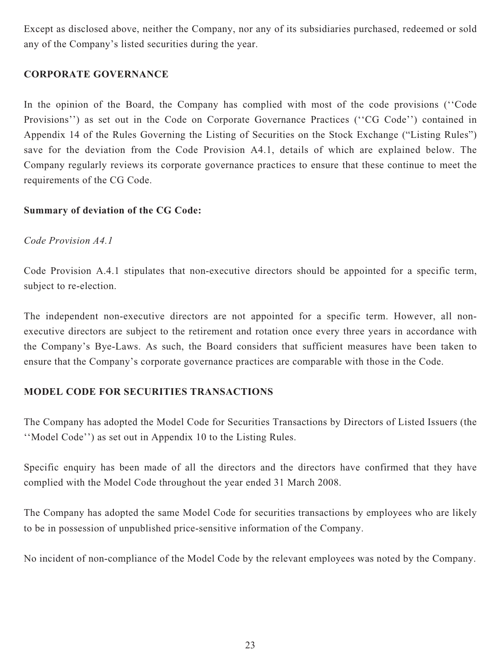Except as disclosed above, neither the Company, nor any of its subsidiaries purchased, redeemed or sold any of the Company's listed securities during the year.

# **CORPORATE GOVERNANCE**

In the opinion of the Board, the Company has complied with most of the code provisions (''Code Provisions'') as set out in the Code on Corporate Governance Practices (''CG Code'') contained in Appendix 14 of the Rules Governing the Listing of Securities on the Stock Exchange ("Listing Rules") save for the deviation from the Code Provision A4.1, details of which are explained below. The Company regularly reviews its corporate governance practices to ensure that these continue to meet the requirements of the CG Code.

# **Summary of deviation of the CG Code:**

# *Code Provision A4.1*

Code Provision A.4.1 stipulates that non-executive directors should be appointed for a specific term, subject to re-election.

The independent non-executive directors are not appointed for a specific term. However, all nonexecutive directors are subject to the retirement and rotation once every three years in accordance with the Company's Bye-Laws. As such, the Board considers that sufficient measures have been taken to ensure that the Company's corporate governance practices are comparable with those in the Code.

# **MODEL CODE FOR SECURITIES TRANSACTIONS**

The Company has adopted the Model Code for Securities Transactions by Directors of Listed Issuers (the ''Model Code'') as set out in Appendix 10 to the Listing Rules.

Specific enquiry has been made of all the directors and the directors have confirmed that they have complied with the Model Code throughout the year ended 31 March 2008.

The Company has adopted the same Model Code for securities transactions by employees who are likely to be in possession of unpublished price-sensitive information of the Company.

No incident of non-compliance of the Model Code by the relevant employees was noted by the Company.